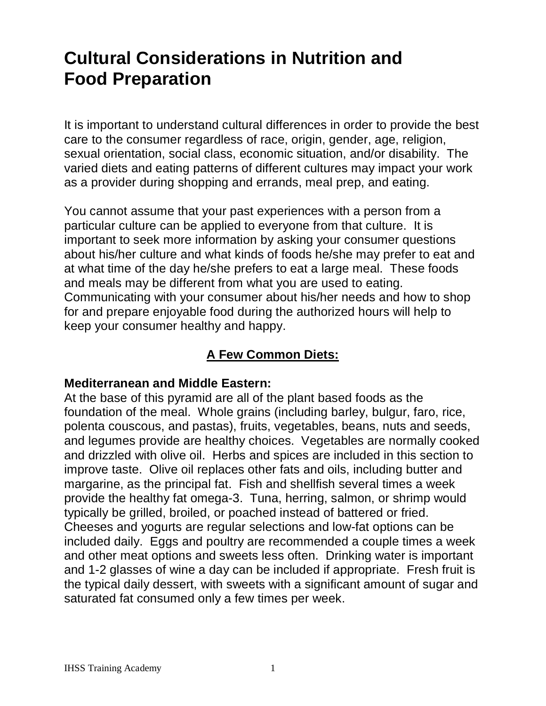# **Cultural Considerations in Nutrition and Food Preparation**

It is important to understand cultural differences in order to provide the best care to the consumer regardless of race, origin, gender, age, religion, sexual orientation, social class, economic situation, and/or disability. The varied diets and eating patterns of different cultures may impact your work as a provider during shopping and errands, meal prep, and eating.

You cannot assume that your past experiences with a person from a particular culture can be applied to everyone from that culture. It is important to seek more information by asking your consumer questions about his/her culture and what kinds of foods he/she may prefer to eat and at what time of the day he/she prefers to eat a large meal. These foods and meals may be different from what you are used to eating. Communicating with your consumer about his/her needs and how to shop for and prepare enjoyable food during the authorized hours will help to keep your consumer healthy and happy.

# **A Few Common Diets:**

### **Mediterranean and Middle Eastern:**

At the base of this pyramid are all of the plant based foods as the foundation of the meal. Whole grains (including barley, bulgur, faro, rice, polenta couscous, and pastas), fruits, vegetables, beans, nuts and seeds, and legumes provide are healthy choices. Vegetables are normally cooked and drizzled with olive oil. Herbs and spices are included in this section to improve taste. Olive oil replaces other fats and oils, including butter and margarine, as the principal fat. Fish and shellfish several times a week provide the healthy fat omega-3. Tuna, herring, salmon, or shrimp would typically be grilled, broiled, or poached instead of battered or fried. Cheeses and yogurts are regular selections and low-fat options can be included daily. Eggs and poultry are recommended a couple times a week and other meat options and sweets less often. Drinking water is important and 1-2 glasses of wine a day can be included if appropriate. Fresh fruit is the typical daily dessert, with sweets with a significant amount of sugar and saturated fat consumed only a few times per week.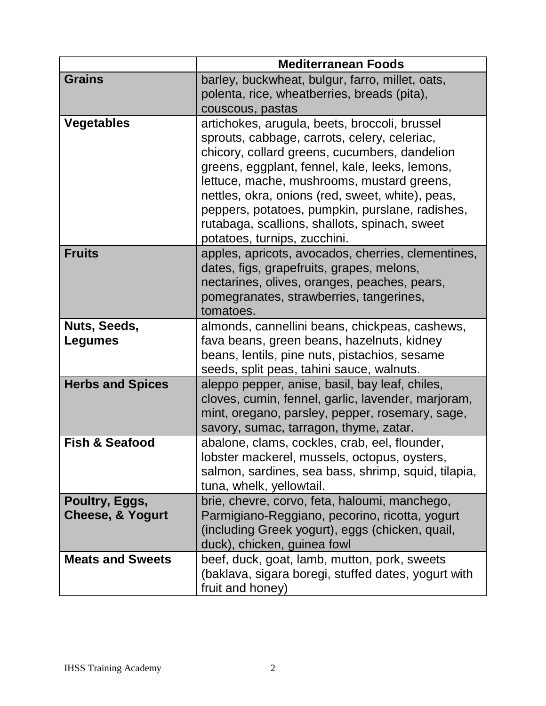|                                               | <b>Mediterranean Foods</b>                                                                                                                                                                                                                                                                                                                                                                                                             |
|-----------------------------------------------|----------------------------------------------------------------------------------------------------------------------------------------------------------------------------------------------------------------------------------------------------------------------------------------------------------------------------------------------------------------------------------------------------------------------------------------|
| <b>Grains</b>                                 | barley, buckwheat, bulgur, farro, millet, oats,<br>polenta, rice, wheatberries, breads (pita),<br>couscous, pastas                                                                                                                                                                                                                                                                                                                     |
| <b>Vegetables</b>                             | artichokes, arugula, beets, broccoli, brussel<br>sprouts, cabbage, carrots, celery, celeriac,<br>chicory, collard greens, cucumbers, dandelion<br>greens, eggplant, fennel, kale, leeks, lemons,<br>lettuce, mache, mushrooms, mustard greens,<br>nettles, okra, onions (red, sweet, white), peas,<br>peppers, potatoes, pumpkin, purslane, radishes,<br>rutabaga, scallions, shallots, spinach, sweet<br>potatoes, turnips, zucchini. |
| <b>Fruits</b>                                 | apples, apricots, avocados, cherries, clementines,<br>dates, figs, grapefruits, grapes, melons,<br>nectarines, olives, oranges, peaches, pears,<br>pomegranates, strawberries, tangerines,<br>tomatoes.                                                                                                                                                                                                                                |
| Nuts, Seeds,<br>Legumes                       | almonds, cannellini beans, chickpeas, cashews,<br>fava beans, green beans, hazelnuts, kidney<br>beans, lentils, pine nuts, pistachios, sesame<br>seeds, split peas, tahini sauce, walnuts.                                                                                                                                                                                                                                             |
| <b>Herbs and Spices</b>                       | aleppo pepper, anise, basil, bay leaf, chiles,<br>cloves, cumin, fennel, garlic, lavender, marjoram,<br>mint, oregano, parsley, pepper, rosemary, sage,<br>savory, sumac, tarragon, thyme, zatar.                                                                                                                                                                                                                                      |
| <b>Fish &amp; Seafood</b>                     | abalone, clams, cockles, crab, eel, flounder,<br>lobster mackerel, mussels, octopus, oysters,<br>salmon, sardines, sea bass, shrimp, squid, tilapia,<br>tuna, whelk, yellowtail.                                                                                                                                                                                                                                                       |
| Poultry, Eggs,<br><b>Cheese, &amp; Yogurt</b> | brie, chevre, corvo, feta, haloumi, manchego,<br>Parmigiano-Reggiano, pecorino, ricotta, yogurt<br>(including Greek yogurt), eggs (chicken, quail,<br>duck), chicken, guinea fowl                                                                                                                                                                                                                                                      |
| <b>Meats and Sweets</b>                       | beef, duck, goat, lamb, mutton, pork, sweets<br>(baklava, sigara boregi, stuffed dates, yogurt with<br>fruit and honey)                                                                                                                                                                                                                                                                                                                |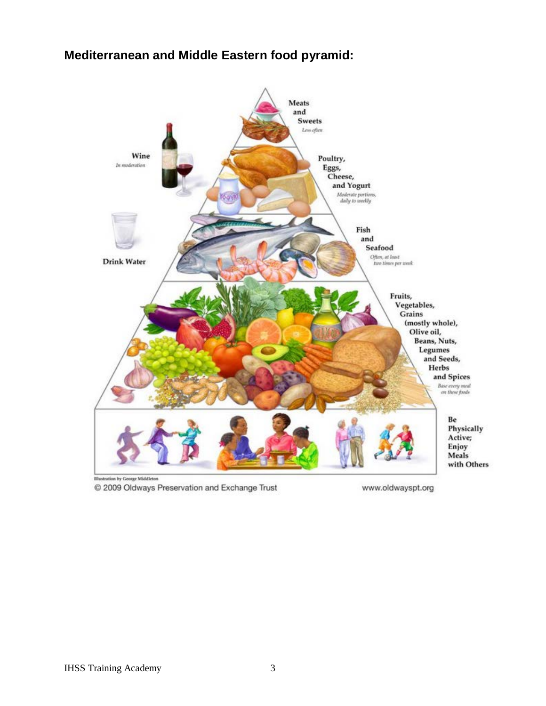#### **Mediterranean and Middle Eastern food pyramid:**



© 2009 Oldways Preservation and Exchange Trust

www.oldwayspt.org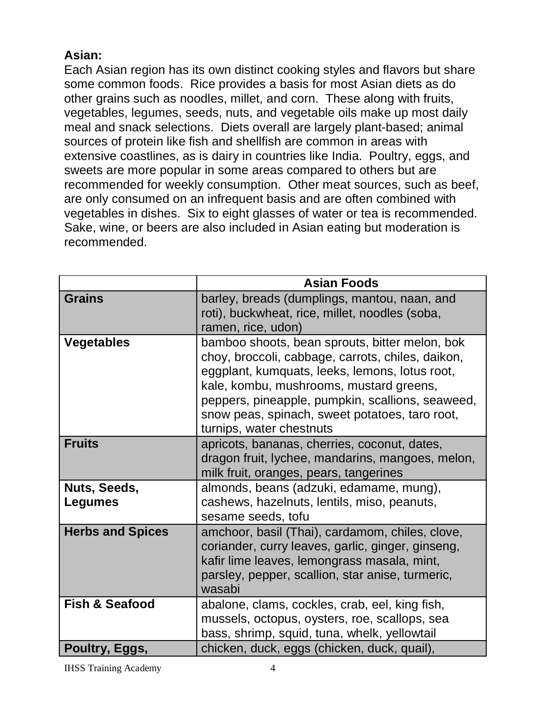# **Asian:**

Each Asian region has its own distinct cooking styles and flavors but share some common foods. Rice provides a basis for most Asian diets as do other grains such as noodles, millet, and corn. These along with fruits, vegetables, legumes, seeds, nuts, and vegetable oils make up most daily meal and snack selections. Diets overall are largely plant-based; animal sources of protein like fish and shellfish are common in areas with extensive coastlines, as is dairy in countries like India. Poultry, eggs, and sweets are more popular in some areas compared to others but are recommended for weekly consumption. Other meat sources, such as beef, are only consumed on an infrequent basis and are often combined with vegetables in dishes. Six to eight glasses of water or tea is recommended. Sake, wine, or beers are also included in Asian eating but moderation is recommended.

|                           | <b>Asian Foods</b>                                                                                                                                                                                                                                                                                                                 |
|---------------------------|------------------------------------------------------------------------------------------------------------------------------------------------------------------------------------------------------------------------------------------------------------------------------------------------------------------------------------|
| <b>Grains</b>             | barley, breads (dumplings, mantou, naan, and<br>roti), buckwheat, rice, millet, noodles (soba,<br>ramen, rice, udon)                                                                                                                                                                                                               |
| <b>Vegetables</b>         | bamboo shoots, bean sprouts, bitter melon, bok<br>choy, broccoli, cabbage, carrots, chiles, daikon,<br>eggplant, kumquats, leeks, lemons, lotus root,<br>kale, kombu, mushrooms, mustard greens,<br>peppers, pineapple, pumpkin, scallions, seaweed,<br>snow peas, spinach, sweet potatoes, taro root,<br>turnips, water chestnuts |
| <b>Fruits</b>             | apricots, bananas, cherries, coconut, dates,<br>dragon fruit, lychee, mandarins, mangoes, melon,<br>milk fruit, oranges, pears, tangerines                                                                                                                                                                                         |
| Nuts, Seeds,<br>Legumes   | almonds, beans (adzuki, edamame, mung),<br>cashews, hazelnuts, lentils, miso, peanuts,<br>sesame seeds, tofu                                                                                                                                                                                                                       |
| <b>Herbs and Spices</b>   | amchoor, basil (Thai), cardamom, chiles, clove,<br>coriander, curry leaves, garlic, ginger, ginseng,<br>kafir lime leaves, lemongrass masala, mint,<br>parsley, pepper, scallion, star anise, turmeric,<br>wasabi                                                                                                                  |
| <b>Fish &amp; Seafood</b> | abalone, clams, cockles, crab, eel, king fish,<br>mussels, octopus, oysters, roe, scallops, sea<br>bass, shrimp, squid, tuna, whelk, yellowtail                                                                                                                                                                                    |
| Poultry, Eggs,            | chicken, duck, eggs (chicken, duck, quail),                                                                                                                                                                                                                                                                                        |

IHSS Training Academy 4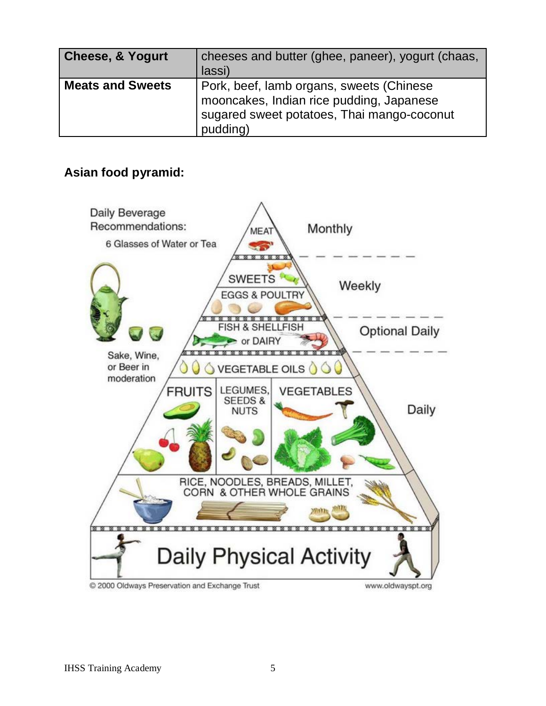| <b>Cheese, &amp; Yogurt</b> | cheeses and butter (ghee, paneer), yogurt (chaas,<br>lassi)                                                                                    |
|-----------------------------|------------------------------------------------------------------------------------------------------------------------------------------------|
| <b>Meats and Sweets</b>     | Pork, beef, lamb organs, sweets (Chinese<br>mooncakes, Indian rice pudding, Japanese<br>sugared sweet potatoes, Thai mango-coconut<br>pudding) |

### **Asian food pyramid:**

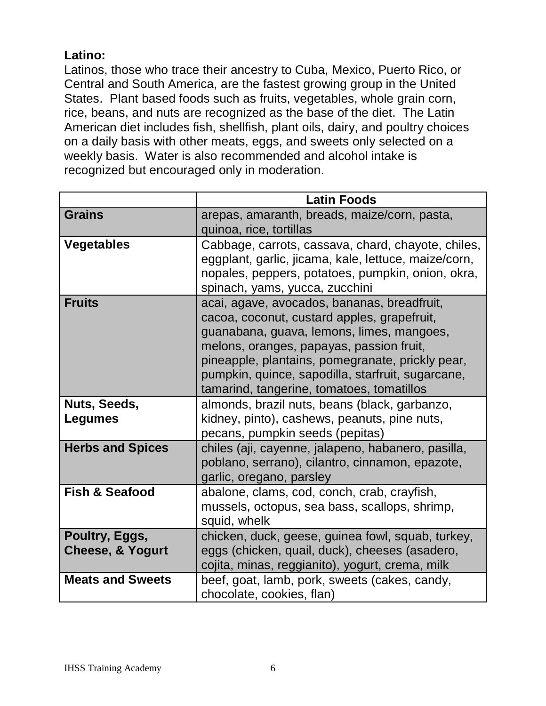# **Latino:**

Latinos, those who trace their ancestry to Cuba, Mexico, Puerto Rico, or Central and South America, are the fastest growing group in the United States. Plant based foods such as fruits, vegetables, whole grain corn, rice, beans, and nuts are recognized as the base of the diet. The Latin American diet includes fish, shellfish, plant oils, dairy, and poultry choices on a daily basis with other meats, eggs, and sweets only selected on a weekly basis. Water is also recommended and alcohol intake is recognized but encouraged only in moderation.

|                                               | <b>Latin Foods</b>                                                                                                                                                                                                                                                                                                                        |
|-----------------------------------------------|-------------------------------------------------------------------------------------------------------------------------------------------------------------------------------------------------------------------------------------------------------------------------------------------------------------------------------------------|
| <b>Grains</b>                                 | arepas, amaranth, breads, maize/corn, pasta,<br>quinoa, rice, tortillas                                                                                                                                                                                                                                                                   |
| <b>Vegetables</b>                             | Cabbage, carrots, cassava, chard, chayote, chiles,<br>eggplant, garlic, jicama, kale, lettuce, maize/corn,<br>nopales, peppers, potatoes, pumpkin, onion, okra,<br>spinach, yams, yucca, zucchini                                                                                                                                         |
| <b>Fruits</b>                                 | acai, agave, avocados, bananas, breadfruit,<br>cacoa, coconut, custard apples, grapefruit,<br>guanabana, guava, lemons, limes, mangoes,<br>melons, oranges, papayas, passion fruit,<br>pineapple, plantains, pomegranate, prickly pear,<br>pumpkin, quince, sapodilla, starfruit, sugarcane,<br>tamarind, tangerine, tomatoes, tomatillos |
| Nuts, Seeds,<br>Legumes                       | almonds, brazil nuts, beans (black, garbanzo,<br>kidney, pinto), cashews, peanuts, pine nuts,<br>pecans, pumpkin seeds (pepitas)                                                                                                                                                                                                          |
| <b>Herbs and Spices</b>                       | chiles (aji, cayenne, jalapeno, habanero, pasilla,<br>poblano, serrano), cilantro, cinnamon, epazote,<br>garlic, oregano, parsley                                                                                                                                                                                                         |
| <b>Fish &amp; Seafood</b>                     | abalone, clams, cod, conch, crab, crayfish,<br>mussels, octopus, sea bass, scallops, shrimp,<br>squid, whelk                                                                                                                                                                                                                              |
| Poultry, Eggs,<br><b>Cheese, &amp; Yogurt</b> | chicken, duck, geese, guinea fowl, squab, turkey,<br>eggs (chicken, quail, duck), cheeses (asadero,<br>cojita, minas, reggianito), yogurt, crema, milk                                                                                                                                                                                    |
| <b>Meats and Sweets</b>                       | beef, goat, lamb, pork, sweets (cakes, candy,<br>chocolate, cookies, flan)                                                                                                                                                                                                                                                                |